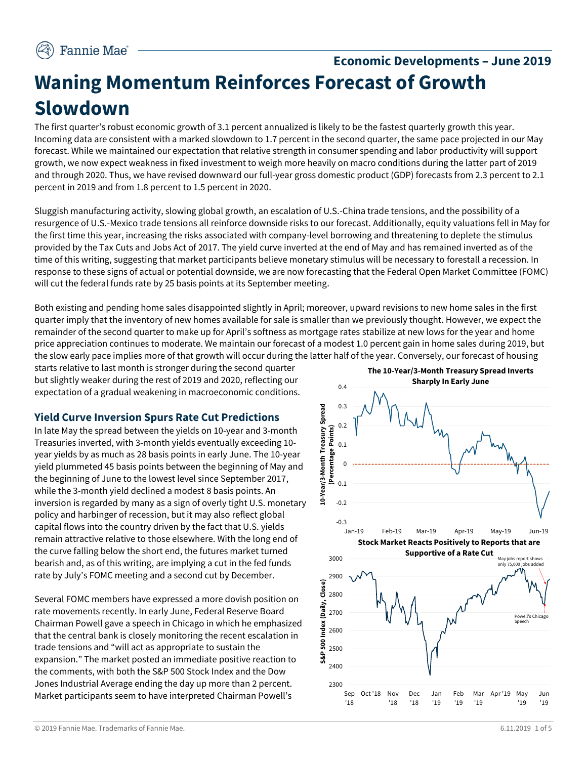# **Economic Developments – June 2019 Waning Momentum Reinforces Forecast of Growth Slowdown**

The first quarter's robust economic growth of 3.1 percent annualized is likely to be the fastest quarterly growth this year. Incoming data are consistent with a marked slowdown to 1.7 percent in the second quarter, the same pace projected in our May forecast. While we maintained our expectation that relative strength in consumer spending and labor productivity will support growth, we now expect weakness in fixed investment to weigh more heavily on macro conditions during the latter part of 2019 and through 2020. Thus, we have revised downward our full-year gross domestic product (GDP) forecasts from 2.3 percent to 2.1 percent in 2019 and from 1.8 percent to 1.5 percent in 2020.

Sluggish manufacturing activity, slowing global growth, an escalation of U.S.-China trade tensions, and the possibility of a resurgence of U.S.-Mexico trade tensions all reinforce downside risks to our forecast. Additionally, equity valuations fell in May for the first time this year, increasing the risks associated with company-level borrowing and threatening to deplete the stimulus provided by the Tax Cuts and Jobs Act of 2017. The yield curve inverted at the end of May and has remained inverted as of the time of this writing, suggesting that market participants believe monetary stimulus will be necessary to forestall a recession. In response to these signs of actual or potential downside, we are now forecasting that the Federal Open Market Committee (FOMC) will cut the federal funds rate by 25 basis points at its September meeting.

Both existing and pending home sales disappointed slightly in April; moreover, upward revisions to new home sales in the first quarter imply that the inventory of new homes available for sale is smaller than we previously thought. However, we expect the remainder of the second quarter to make up for April's softness as mortgage rates stabilize at new lows for the year and home price appreciation continues to moderate. We maintain our forecast of a modest 1.0 percent gain in home sales during 2019, but the slow early pace implies more of that growth will occur during the latter half of the year. Conversely, our forecast of housing

starts relative to last month is stronger during the second quarter but slightly weaker during the rest of 2019 and 2020, reflecting our expectation of a gradual weakening in macroeconomic conditions.

## **Yield Curve Inversion Spurs Rate Cut Predictions**

In late May the spread between the yields on 10-year and 3-month Treasuries inverted, with 3-month yields eventually exceeding 10 year yields by as much as 28 basis points in early June. The 10-year yield plummeted 45 basis points between the beginning of May and the beginning of June to the lowest level since September 2017, while the 3-month yield declined a modest 8 basis points. An inversion is regarded by many as a sign of overly tight U.S. monetary policy and harbinger of recession, but it may also reflect global capital flows into the country driven by the fact that U.S. yields remain attractive relative to those elsewhere. With the long end of the curve falling below the short end, the futures market turned bearish and, as of this writing, are implying a cut in the fed funds rate by July's FOMC meeting and a second cut by December.

Several FOMC members have expressed a more dovish position on rate movements recently. In early June, Federal Reserve Board Chairman Powell gave a speech in Chicago in which he emphasized that the central bank is closely monitoring the recent escalation in trade tensions and "will act as appropriate to sustain the expansion." The market posted an immediate positive reaction to the comments, with both the S&P 500 Stock Index and the Dow Jones Industrial Average ending the day up more than 2 percent. Market participants seem to have interpreted Chairman Powell's

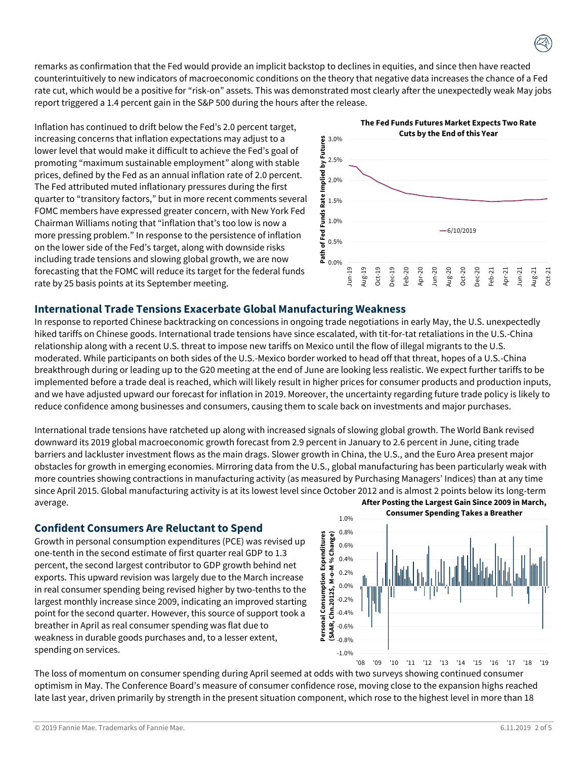remarks as confirmation that the Fed would provide an implicit backstop to declines in equities, and since then have reacted counterintuitively to new indicators of macroeconomic conditions on the theory that negative data increases the chance of a Fed rate cut, which would be a positive for "risk-on" assets. This was demonstrated most clearly after the unexpectedly weak May jobs report triggered a 1.4 percent gain in the S&P 500 during the hours after the release.

Inflation has continued to drift below the Fed's 2.0 percent target, increasing concerns that inflation expectations may adjust to a lower level that would make it difficult to achieve the Fed's goal of promoting "maximum sustainable employment" along with stable prices, defined by the Fed as an annual inflation rate of 2.0 percent. The Fed attributed muted inflationary pressures during the first quarter to "transitory factors," but in more recent comments several FOMC members have expressed greater concern, with New York Fed Chairman Williams noting that "inflation that's too low is now a more pressing problem." In response to the persistence of inflation on the lower side of the Fed's target, along with downside risks including trade tensions and slowing global growth, we are now forecasting that the FOMC will reduce its target for the federal funds rate by 25 basis points at its September meeting.



### **International Trade Tensions Exacerbate Global Manufacturing Weakness**

In response to reported Chinese backtracking on concessions in ongoing trade negotiations in early May, the U.S. unexpectedly hiked tariffs on Chinese goods. International trade tensions have since escalated, with tit-for-tat retaliations in the U.S.-China relationship along with a recent U.S. threat to impose new tariffs on Mexico until the flow of illegal migrants to the U.S. moderated. While participants on both sides of the U.S.-Mexico border worked to head off that threat, hopes of a U.S.-China breakthrough during or leading up to the G20 meeting at the end of June are looking less realistic. We expect further tariffs to be implemented before a trade deal is reached, which will likely result in higher prices for consumer products and production inputs, and we have adjusted upward our forecast for inflation in 2019. Moreover, the uncertainty regarding future trade policy is likely to reduce confidence among businesses and consumers, causing them to scale back on investments and major purchases.

International trade tensions have ratcheted up along with increased signals of slowing global growth. The World Bank revised downward its 2019 global macroeconomic growth forecast from 2.9 percent in January to 2.6 percent in June, citing trade barriers and lackluster investment flows as the main drags. Slower growth in China, the U.S., and the Euro Area present major obstacles for growth in emerging economies. Mirroring data from the U.S., global manufacturing has been particularly weak with more countries showing contractions in manufacturing activity (as measured by Purchasing Managers' Indices) than at any time since April 2015. Global manufacturing activity is at its lowest level since October 2012 and is almost 2 points below its long-term average. **After Posting the Largest Gain Since 2009 in March,** 

#### **Confident Consumers Are Reluctant to Spend**

Growth in personal consumption expenditures (PCE) was revised up one-tenth in the second estimate of first quarter real GDP to 1.3 percent, the second largest contributor to GDP growth behind net exports. This upward revision was largely due to the March increase in real consumer spending being revised higher by two-tenths to the largest monthly increase since 2009, indicating an improved starting point for the second quarter. However, this source of support took a breather in April as real consumer spending was flat due to weakness in durable goods purchases and, to a lesser extent, spending on services.



The loss of momentum on consumer spending during April seemed at odds with two surveys showing continued consumer optimism in May. The Conference Board's measure of consumer confidence rose, moving close to the expansion highs reached late last year, driven primarily by strength in the present situation component, which rose to the highest level in more than 18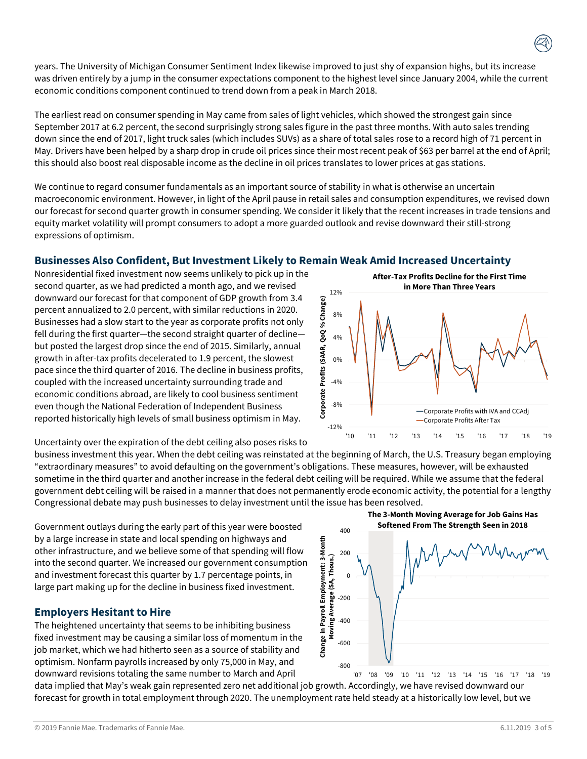years. The University of Michigan Consumer Sentiment Index likewise improved to just shy of expansion highs, but its increase was driven entirely by a jump in the consumer expectations component to the highest level since January 2004, while the current economic conditions component continued to trend down from a peak in March 2018.

The earliest read on consumer spending in May came from sales of light vehicles, which showed the strongest gain since September 2017 at 6.2 percent, the second surprisingly strong sales figure in the past three months. With auto sales trending down since the end of 2017, light truck sales (which includes SUVs) as a share of total sales rose to a record high of 71 percent in May. Drivers have been helped by a sharp drop in crude oil prices since their most recent peak of \$63 per barrel at the end of April; this should also boost real disposable income as the decline in oil prices translates to lower prices at gas stations.

We continue to regard consumer fundamentals as an important source of stability in what is otherwise an uncertain macroeconomic environment. However, in light of the April pause in retail sales and consumption expenditures, we revised down our forecast for second quarter growth in consumer spending. We consider it likely that the recent increases in trade tensions and equity market volatility will prompt consumers to adopt a more guarded outlook and revise downward their still-strong expressions of optimism.

# **Businesses Also Confident, But Investment Likely to Remain Weak Amid Increased Uncertainty**

Nonresidential fixed investment now seems unlikely to pick up in the second quarter, as we had predicted a month ago, and we revised downward our forecast for that component of GDP growth from 3.4 percent annualized to 2.0 percent, with similar reductions in 2020. Businesses had a slow start to the year as corporate profits not only fell during the first quarter—the second straight quarter of decline but posted the largest drop since the end of 2015. Similarly, annual growth in after-tax profits decelerated to 1.9 percent, the slowest pace since the third quarter of 2016. The decline in business profits, coupled with the increased uncertainty surrounding trade and economic conditions abroad, are likely to cool business sentiment even though the National Federation of Independent Business reported historically high levels of small business optimism in May.

Uncertainty over the expiration of the debt ceiling also poses risks to

business investment this year. When the debt ceiling was reinstated at the beginning of March, the U.S. Treasury began employing "extraordinary measures" to avoid defaulting on the government's obligations. These measures, however, will be exhausted sometime in the third quarter and another increase in the federal debt ceiling will be required. While we assume that the federal government debt ceiling will be raised in a manner that does not permanently erode economic activity, the potential for a lengthy Congressional debate may push businesses to delay investment until the issue has been resolved.

Government outlays during the early part of this year were boosted by a large increase in state and local spending on highways and other infrastructure, and we believe some of that spending will flow into the second quarter. We increased our government consumption and investment forecast this quarter by 1.7 percentage points, in large part making up for the decline in business fixed investment.

# **Employers Hesitant to Hire**

The heightened uncertainty that seems to be inhibiting business fixed investment may be causing a similar loss of momentum in the job market, which we had hitherto seen as a source of stability and optimism. Nonfarm payrolls increased by only 75,000 in May, and downward revisions totaling the same number to March and April

data implied that May's weak gain represented zero net additional job growth. Accordingly, we have revised downward our forecast for growth in total employment through 2020. The unemployment rate held steady at a historically low level, but we

 $-800$ -600  $-400$ -200  $\Omega$ 200 400 '07 '08 '09 '10 '11 '12 '13 '14 '15 '16 '17 '18 '19 **Change in Payroll Employment: 3-Month Moving Average (SA, Thous.) The 3-Month Moving Average for Job Gains Has Softened From The Strength Seen in 2018**

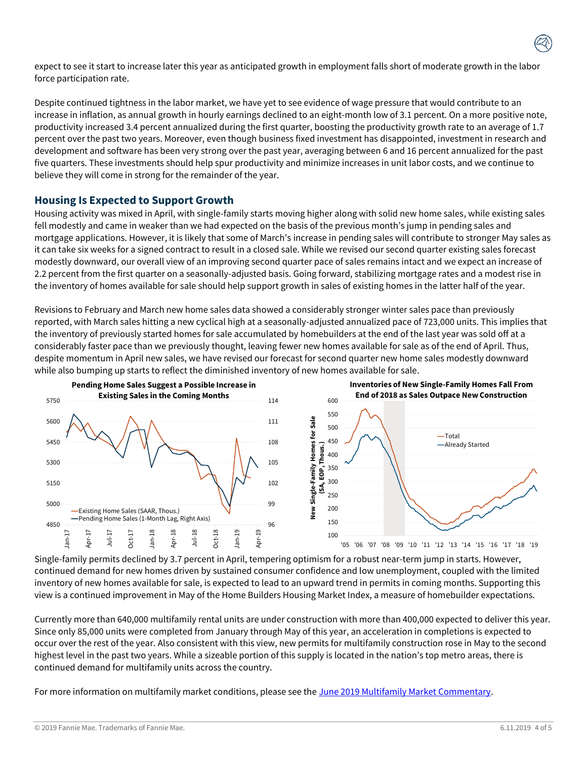expect to see it start to increase later this year as anticipated growth in employment falls short of moderate growth in the labor force participation rate.

Despite continued tightness in the labor market, we have yet to see evidence of wage pressure that would contribute to an increase in inflation, as annual growth in hourly earnings declined to an eight-month low of 3.1 percent. On a more positive note, productivity increased 3.4 percent annualized during the first quarter, boosting the productivity growth rate to an average of 1.7 percent over the past two years. Moreover, even though business fixed investment has disappointed, investment in research and development and software has been very strong over the past year, averaging between 6 and 16 percent annualized for the past five quarters. These investments should help spur productivity and minimize increases in unit labor costs, and we continue to believe they will come in strong for the remainder of the year.

## **Housing Is Expected to Support Growth**

Housing activity was mixed in April, with single-family starts moving higher along with solid new home sales, while existing sales fell modestly and came in weaker than we had expected on the basis of the previous month's jump in pending sales and mortgage applications. However, it is likely that some of March's increase in pending sales will contribute to stronger May sales as it can take six weeks for a signed contract to result in a closed sale. While we revised our second quarter existing sales forecast modestly downward, our overall view of an improving second quarter pace of sales remains intact and we expect an increase of 2.2 percent from the first quarter on a seasonally-adjusted basis. Going forward, stabilizing mortgage rates and a modest rise in the inventory of homes available for sale should help support growth in sales of existing homes in the latter half of the year.

Revisions to February and March new home sales data showed a considerably stronger winter sales pace than previously reported, with March sales hitting a new cyclical high at a seasonally-adjusted annualized pace of 723,000 units. This implies that the inventory of previously started homes for sale accumulated by homebuilders at the end of the last year was sold off at a considerably faster pace than we previously thought, leaving fewer new homes available for sale as of the end of April. Thus, despite momentum in April new sales, we have revised our forecast for second quarter new home sales modestly downward while also bumping up starts to reflect the diminished inventory of new homes available for sale.



Single-family permits declined by 3.7 percent in April, tempering optimism for a robust near-term jump in starts. However, continued demand for new homes driven by sustained consumer confidence and low unemployment, coupled with the limited inventory of new homes available for sale, is expected to lead to an upward trend in permits in coming months. Supporting this view is a continued improvement in May of the Home Builders Housing Market Index, a measure of homebuilder expectations.

Currently more than 640,000 multifamily rental units are under construction with more than 400,000 expected to deliver this year. Since only 85,000 units were completed from January through May of this year, an acceleration in completions is expected to occur over the rest of the year. Also consistent with this view, new permits for multifamily construction rose in May to the second highest level in the past two years. While a sizeable portion of this supply is located in the nation's top metro areas, there is continued demand for multifamily units across the country.

For more information on multifamily market conditions, please see the [June 2019 Multifamily Market Commentary.](http://www.fanniemae.com/resources/file/research/emma/pdf/MF_Market_Commentary_061719.pdf)